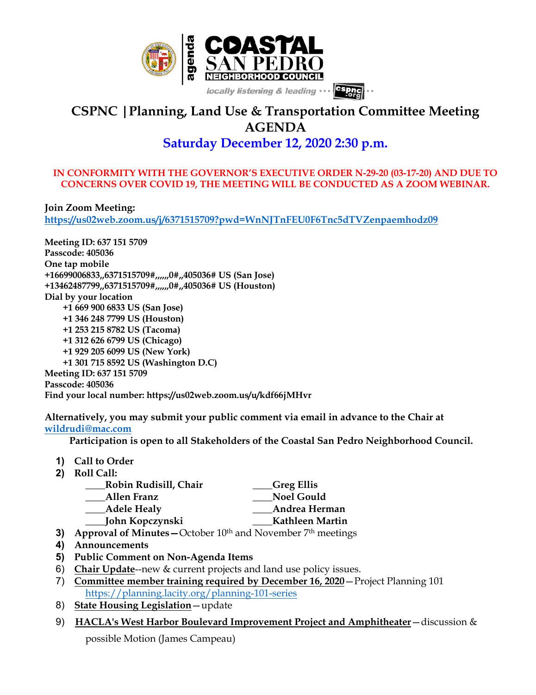

# **CSPNC |Planning, Land Use & Transportation Committee Meeting AGENDA**

# **Saturday December 12, 2020 2:30 p.m.**

#### **IN CONFORMITY WITH THE GOVERNOR'S EXECUTIVE ORDER N-29-20 (03-17-20) AND DUE TO CONCERNS OVER COVID 19, THE MEETING WILL BE CONDUCTED AS A ZOOM WEBINAR.**

**Join Zoom Meeting: https://us02web.zoom.us/j/6371515709?pwd=WnNJTnFEU0F6Tnc5dTVZenpaemhodz09**

**Meeting ID: 637 151 5709 Passcode: 405036 One tap mobile +16699006833,,6371515709#,,,,,,0#,,405036# US (San Jose) +13462487799,,6371515709#,,,,,,0#,,405036# US (Houston) Dial by your location +1 669 900 6833 US (San Jose) +1 346 248 7799 US (Houston) +1 253 215 8782 US (Tacoma) +1 312 626 6799 US (Chicago) +1 929 205 6099 US (New York) +1 301 715 8592 US (Washington D.C) Meeting ID: 637 151 5709 Passcode: 405036 Find your local number: https://us02web.zoom.us/u/kdf66jMHvr**

**Alternatively, you may submit your public comment via email in advance to the Chair at wildrudi@mac.com**

 **Participation is open to all Stakeholders of the Coastal San Pedro Neighborhood Council.**

- **1) Call to Order**
- **2) Roll Call:**

| Robin Rudisill, Chair                                                                                                                   | Greg Ellis        |
|-----------------------------------------------------------------------------------------------------------------------------------------|-------------------|
| Allen Franz                                                                                                                             | <b>Noel Gould</b> |
| Adele Healy                                                                                                                             | Andrea Herman     |
| John Kopczynski                                                                                                                         | Kathleen Martin   |
| A concerned of M <sup>2</sup> cycles $Q_{\text{el}}$ , $Q_{\text{el}}$ , $\sim 10$ th and $N_{\text{reco}}$ , $\sim 7$ th as a slice of |                   |

- **3) Approval of Minutes October 10<sup>th</sup> and November 7<sup>th</sup> meetings**
- **4) Announcements**
- **5) Public Comment on Non-Agenda Items**
- 6) **Chair Update**--new & current projects and land use policy issues.
- 7) **Committee member training required by December 16, 2020**—Project Planning 101 https://planning.lacity.org/planning-101-series
- 8) **State Housing Legislation**—update
- 9) **HACLA's West Harbor Boulevard Improvement Project and Amphitheater**—discussion &

possible Motion (James Campeau)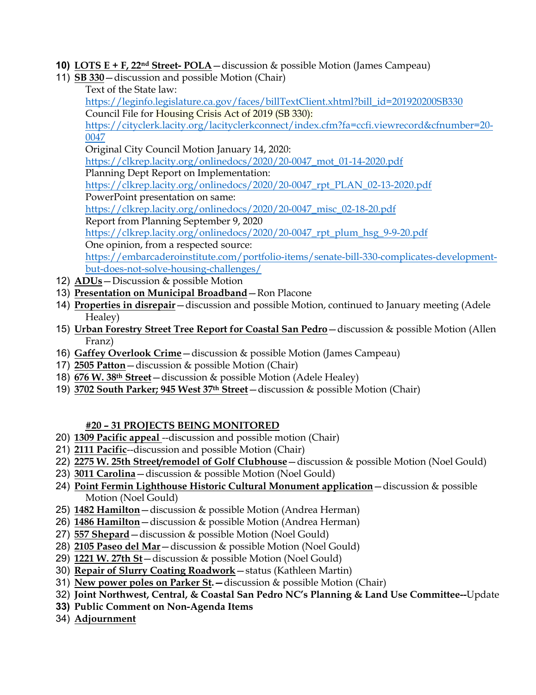- **10) LOTS E + F, 22nd Street- POLA**—discussion & possible Motion (James Campeau)
- 11) **SB 330**—discussion and possible Motion (Chair)
	- Text of the State law:

https://leginfo.legislature.ca.gov/faces/billTextClient.xhtml?bill\_id=201920200SB330 Council File for Housing Crisis Act of 2019 (SB 330):

https://cityclerk.lacity.org/lacityclerkconnect/index.cfm?fa=ccfi.viewrecord&cfnumber=20- 0047

Original City Council Motion January 14, 2020:

https://clkrep.lacity.org/onlinedocs/2020/20-0047\_mot\_01-14-2020.pdf

Planning Dept Report on Implementation:

https://clkrep.lacity.org/onlinedocs/2020/20-0047\_rpt\_PLAN\_02-13-2020.pdf

PowerPoint presentation on same:

https://clkrep.lacity.org/onlinedocs/2020/20-0047\_misc\_02-18-20.pdf

Report from Planning September 9, 2020

https://clkrep.lacity.org/onlinedocs/2020/20-0047\_rpt\_plum\_hsg\_9-9-20.pdf

One opinion, from a respected source:

https://embarcaderoinstitute.com/portfolio-items/senate-bill-330-complicates-developmentbut-does-not-solve-housing-challenges/

- 12) **ADUs**—Discussion & possible Motion
- 13) **Presentation on Municipal Broadband**—Ron Placone
- 14) **Properties in disrepair**—discussion and possible Motion, continued to January meeting (Adele Healey)
- 15) **Urban Forestry Street Tree Report for Coastal San Pedro**—discussion & possible Motion (Allen Franz)
- 16) **Gaffey Overlook Crime**—discussion & possible Motion (James Campeau)
- 17) **2505 Patton**—discussion & possible Motion (Chair)
- 18) **676 W. 38th Street**—discussion & possible Motion (Adele Healey)
- 19) **3702 South Parker; 945 West 37th Street**—discussion & possible Motion (Chair)

## **#20 – 31 PROJECTS BEING MONITORED**

- 20) **1309 Pacific appeal** --discussion and possible motion (Chair)
- 21) **2111 Pacific**--discussion and possible Motion (Chair)
- 22) **2275 W. 25th Street/remodel of Golf Clubhouse**—discussion & possible Motion (Noel Gould)
- 23) **3011 Carolina**—discussion & possible Motion (Noel Gould)
- 24) **Point Fermin Lighthouse Historic Cultural Monument application**—discussion & possible Motion (Noel Gould)
- 25) **1482 Hamilton**—discussion & possible Motion (Andrea Herman)
- 26) **1486 Hamilton**—discussion & possible Motion (Andrea Herman)
- 27) **557 Shepard**—discussion & possible Motion (Noel Gould)
- 28) **2105 Paseo del Mar**—discussion & possible Motion (Noel Gould)
- 29) **1221 W. 27th St**—discussion & possible Motion (Noel Gould)
- 30) **Repair of Slurry Coating Roadwork**—status (Kathleen Martin)
- 31) **New power poles on Parker St.—**discussion & possible Motion (Chair)
- 32) **Joint Northwest, Central, & Coastal San Pedro NC's Planning & Land Use Committee--**Update
- **33) Public Comment on Non-Agenda Items**
- 34) **Adjournment**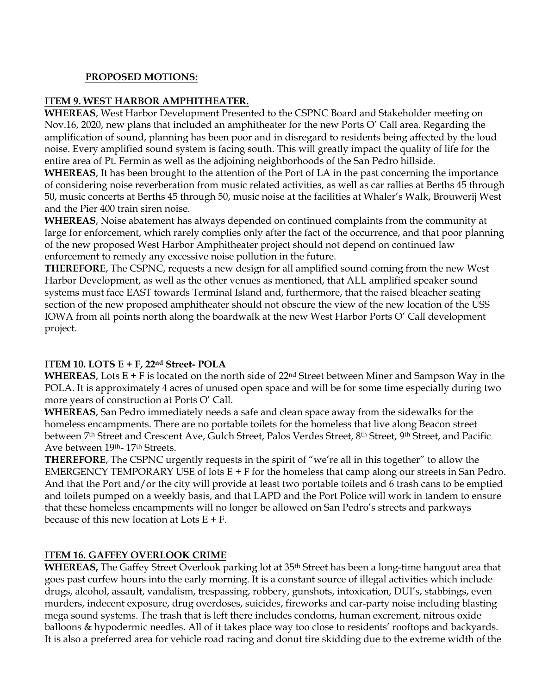#### **PROPOSED MOTIONS:**

#### **ITEM 9. WEST HARBOR AMPHITHEATER.**

**WHEREAS**, West Harbor Development Presented to the CSPNC Board and Stakeholder meeting on Nov.16, 2020, new plans that included an amphitheater for the new Ports O' Call area. Regarding the amplification of sound, planning has been poor and in disregard to residents being affected by the loud noise. Every amplified sound system is facing south. This will greatly impact the quality of life for the entire area of Pt. Fermin as well as the adjoining neighborhoods of the San Pedro hillside.

**WHEREAS**, It has been brought to the attention of the Port of LA in the past concerning the importance of considering noise reverberation from music related activities, as well as car rallies at Berths 45 through 50, music concerts at Berths 45 through 50, music noise at the facilities at Whaler's Walk, Brouwerij West and the Pier 400 train siren noise.

**WHEREAS**, Noise abatement has always depended on continued complaints from the community at large for enforcement, which rarely complies only after the fact of the occurrence, and that poor planning of the new proposed West Harbor Amphitheater project should not depend on continued law enforcement to remedy any excessive noise pollution in the future.

**THEREFORE**, The CSPNC, requests a new design for all amplified sound coming from the new West Harbor Development, as well as the other venues as mentioned, that ALL amplified speaker sound systems must face EAST towards Terminal Island and, furthermore, that the raised bleacher seating section of the new proposed amphitheater should not obscure the view of the new location of the USS IOWA from all points north along the boardwalk at the new West Harbor Ports O' Call development project.

## **ITEM 10. LOTS E + F, 22nd Street- POLA**

**WHEREAS**, Lots  $E + F$  is located on the north side of 22<sup>nd</sup> Street between Miner and Sampson Way in the POLA. It is approximately 4 acres of unused open space and will be for some time especially during two more years of construction at Ports O' Call.

**WHEREAS**, San Pedro immediately needs a safe and clean space away from the sidewalks for the homeless encampments. There are no portable toilets for the homeless that live along Beacon street between 7<sup>th</sup> Street and Crescent Ave, Gulch Street, Palos Verdes Street, 8<sup>th</sup> Street, 9<sup>th</sup> Street, and Pacific Ave between 19th- 17th Streets.

**THEREFORE**, The CSPNC urgently requests in the spirit of "we're all in this together" to allow the EMERGENCY TEMPORARY USE of lots  $E + F$  for the homeless that camp along our streets in San Pedro. And that the Port and/or the city will provide at least two portable toilets and 6 trash cans to be emptied and toilets pumped on a weekly basis, and that LAPD and the Port Police will work in tandem to ensure that these homeless encampments will no longer be allowed on San Pedro's streets and parkways because of this new location at Lots  $E + F$ .

#### **ITEM 16. GAFFEY OVERLOOK CRIME**

**WHEREAS,** The Gaffey Street Overlook parking lot at 35th Street has been a long-time hangout area that goes past curfew hours into the early morning. It is a constant source of illegal activities which include drugs, alcohol, assault, vandalism, trespassing, robbery, gunshots, intoxication, DUI's, stabbings, even murders, indecent exposure, drug overdoses, suicides, fireworks and car-party noise including blasting mega sound systems. The trash that is left there includes condoms, human excrement, nitrous oxide balloons & hypodermic needles. All of it takes place way too close to residents' rooftops and backyards. It is also a preferred area for vehicle road racing and donut tire skidding due to the extreme width of the